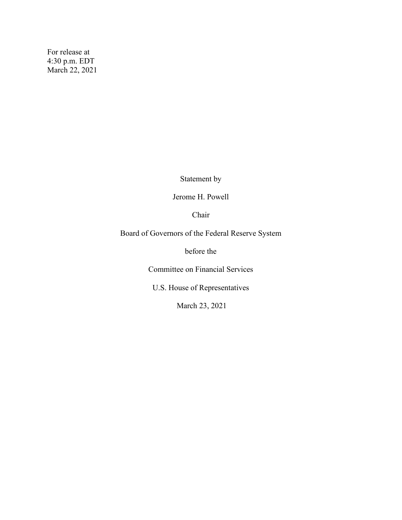For release at 4:30 p.m. EDT March 22, 2021

Statement by

Jerome H. Powell

Chair

Board of Governors of the Federal Reserve System

before the

Committee on Financial Services

U.S. House of Representatives

March 23, 2021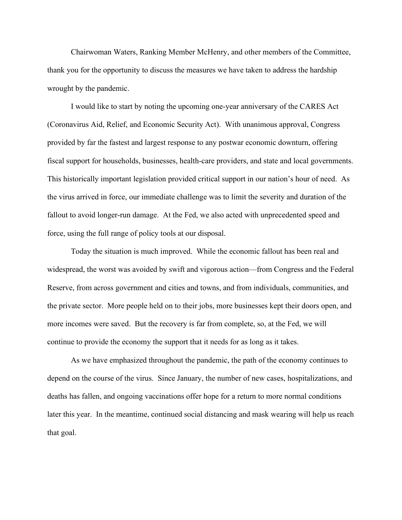Chairwoman Waters, Ranking Member McHenry, and other members of the Committee, thank you for the opportunity to discuss the measures we have taken to address the hardship wrought by the pandemic.

I would like to start by noting the upcoming one-year anniversary of the CARES Act (Coronavirus Aid, Relief, and Economic Security Act). With unanimous approval, Congress provided by far the fastest and largest response to any postwar economic downturn, offering fiscal support for households, businesses, health-care providers, and state and local governments. This historically important legislation provided critical support in our nation's hour of need. As the virus arrived in force, our immediate challenge was to limit the severity and duration of the fallout to avoid longer-run damage. At the Fed, we also acted with unprecedented speed and force, using the full range of policy tools at our disposal.

Today the situation is much improved. While the economic fallout has been real and widespread, the worst was avoided by swift and vigorous action—from Congress and the Federal Reserve, from across government and cities and towns, and from individuals, communities, and the private sector. More people held on to their jobs, more businesses kept their doors open, and more incomes were saved. But the recovery is far from complete, so, at the Fed, we will continue to provide the economy the support that it needs for as long as it takes.

As we have emphasized throughout the pandemic, the path of the economy continues to depend on the course of the virus. Since January, the number of new cases, hospitalizations, and deaths has fallen, and ongoing vaccinations offer hope for a return to more normal conditions later this year. In the meantime, continued social distancing and mask wearing will help us reach that goal.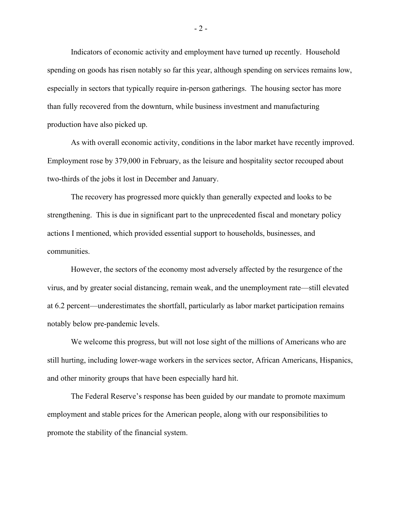Indicators of economic activity and employment have turned up recently. Household spending on goods has risen notably so far this year, although spending on services remains low, especially in sectors that typically require in-person gatherings. The housing sector has more than fully recovered from the downturn, while business investment and manufacturing production have also picked up.

As with overall economic activity, conditions in the labor market have recently improved. Employment rose by 379,000 in February, as the leisure and hospitality sector recouped about two-thirds of the jobs it lost in December and January.

The recovery has progressed more quickly than generally expected and looks to be strengthening. This is due in significant part to the unprecedented fiscal and monetary policy actions I mentioned, which provided essential support to households, businesses, and communities.

However, the sectors of the economy most adversely affected by the resurgence of the virus, and by greater social distancing, remain weak, and the unemployment rate—still elevated at 6.2 percent—underestimates the shortfall, particularly as labor market participation remains notably below pre-pandemic levels.

We welcome this progress, but will not lose sight of the millions of Americans who are still hurting, including lower-wage workers in the services sector, African Americans, Hispanics, and other minority groups that have been especially hard hit.

The Federal Reserve's response has been guided by our mandate to promote maximum employment and stable prices for the American people, along with our responsibilities to promote the stability of the financial system.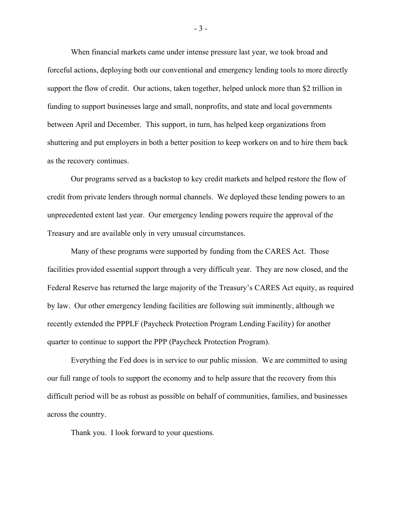When financial markets came under intense pressure last year, we took broad and forceful actions, deploying both our conventional and emergency lending tools to more directly support the flow of credit. Our actions, taken together, helped unlock more than \$2 trillion in funding to support businesses large and small, nonprofits, and state and local governments between April and December. This support, in turn, has helped keep organizations from shuttering and put employers in both a better position to keep workers on and to hire them back as the recovery continues.

Our programs served as a backstop to key credit markets and helped restore the flow of credit from private lenders through normal channels. We deployed these lending powers to an unprecedented extent last year. Our emergency lending powers require the approval of the Treasury and are available only in very unusual circumstances.

Many of these programs were supported by funding from the CARES Act. Those facilities provided essential support through a very difficult year. They are now closed, and the Federal Reserve has returned the large majority of the Treasury's CARES Act equity, as required by law. Our other emergency lending facilities are following suit imminently, although we recently extended the PPPLF (Paycheck Protection Program Lending Facility) for another quarter to continue to support the PPP (Paycheck Protection Program).

Everything the Fed does is in service to our public mission. We are committed to using our full range of tools to support the economy and to help assure that the recovery from this difficult period will be as robust as possible on behalf of communities, families, and businesses across the country.

Thank you. I look forward to your questions.

- 3 -